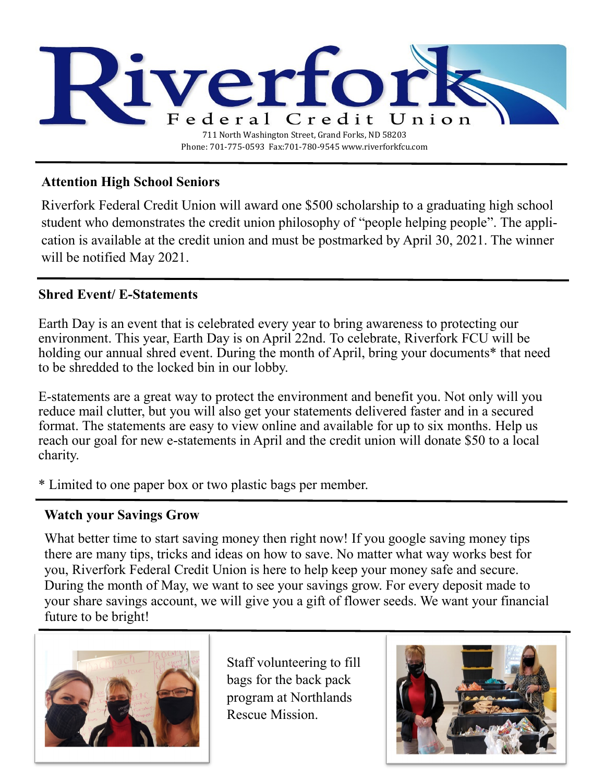

# **Attention High School Seniors**

Riverfork Federal Credit Union will award one \$500 scholarship to a graduating high school student who demonstrates the credit union philosophy of "people helping people". The application is available at the credit union and must be postmarked by April 30, 2021. The winner will be notified May 2021.

# **Shred Event/ E-Statements**

Earth Day is an event that is celebrated every year to bring awareness to protecting our environment. This year, Earth Day is on April 22nd. To celebrate, Riverfork FCU will be holding our annual shred event. During the month of April, bring your documents<sup>\*</sup> that need to be shredded to the locked bin in our lobby.

E-statements are a great way to protect the environment and benefit you. Not only will you reduce mail clutter, but you will also get your statements delivered faster and in a secured format. The statements are easy to view online and available for up to six months. Help us reach our goal for new e-statements in April and the credit union will donate \$50 to a local charity.

\* Limited to one paper box or two plastic bags per member.

## **Watch your Savings Grow**

What better time to start saving money then right now! If you google saving money tips there are many tips, tricks and ideas on how to save. No matter what way works best for you, Riverfork Federal Credit Union is here to help keep your money safe and secure. During the month of May, we want to see your savings grow. For every deposit made to your share savings account, we will give you a gift of flower seeds. We want your financial future to be bright!



Staff volunteering to fill bags for the back pack program at Northlands Rescue Mission.